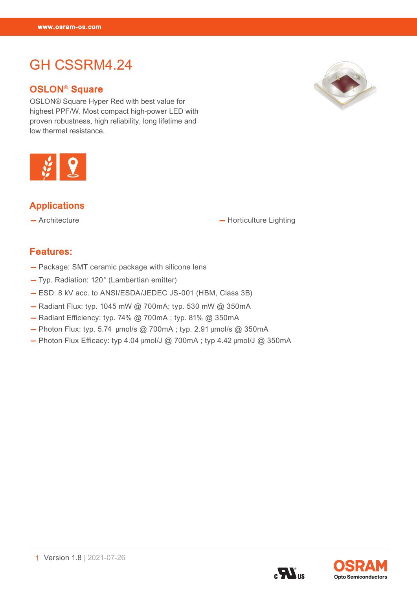GH CSSRM4.24<br>GH CSSRM4.24

# GH CSSRM4.24

#### OSLON® Square

OSLON® Square Hyper Red with best value for highest PPF/W. Most compact high-power LED with proven robustness, high reliability, long lifetime and low thermal resistance.





#### Applications

— Architecture — Norticulture Lighting

#### Features:

- Package: SMT ceramic package with silicone lens
- Typ. Radiation: 120° (Lambertian emitter)
- ESD: 8 kV acc. to ANSI/ESDA/JEDEC JS-001 (HBM, Class 3B)
- Radiant Flux: typ. 1045 mW @ 700mA; typ. 530 mW @ 350mA
- Radiant Efficiency: typ. 74% @ 700mA ; typ. 81% @ 350mA
- $-$  Photon Flux: typ. 5.74  $\mu$ mol/s @ 700mA ; typ. 2.91  $\mu$ mol/s @ 350mA
- Photon Flux Efficacy: typ 4.04 μmol/J @ 700mA ; typ 4.42 μmol/J @ 350mA

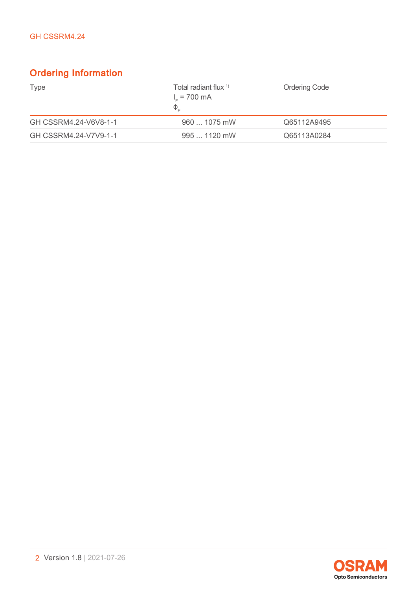## Ordering Information

| <b>Type</b>           | Total radiant flux <sup>1)</sup><br>$I_c$ = 700 mA<br>$\Phi_{\varepsilon}$ | <b>Ordering Code</b> |
|-----------------------|----------------------------------------------------------------------------|----------------------|
| GH CSSRM4.24-V6V8-1-1 | $9601075$ mW                                                               | Q65112A9495          |
| GH CSSRM4.24-V7V9-1-1 | $9951120$ mW                                                               | Q65113A0284          |

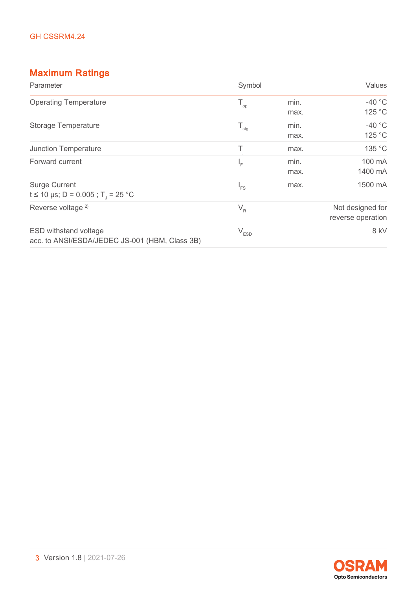## Maximum Ratings

| Parameter                                                                      | Symbol                    | Values |                   |
|--------------------------------------------------------------------------------|---------------------------|--------|-------------------|
| <b>Operating Temperature</b>                                                   | $T_{op}$                  | min.   | -40 $\degree$ C   |
|                                                                                |                           | max.   | 125 °C            |
| <b>Storage Temperature</b>                                                     | $\mathsf{T}_{\text{stg}}$ | min.   | $-40$ °C          |
|                                                                                |                           | max.   | 125 °C            |
| <b>Junction Temperature</b>                                                    | Τ,                        | max.   | 135 °C            |
| Forward current                                                                | ı.                        | min.   | 100 mA            |
|                                                                                |                           | max.   | 1400 mA           |
| <b>Surge Current</b>                                                           | $I_{FS}$                  | max.   | 1500 mA           |
| t ≤ 10 µs; D = 0.005 ; T = 25 °C                                               |                           |        |                   |
| Reverse voltage <sup>2)</sup>                                                  | $V_{R}$                   |        | Not designed for  |
|                                                                                |                           |        | reverse operation |
| <b>ESD withstand voltage</b><br>acc. to ANSI/ESDA/JEDEC JS-001 (HBM, Class 3B) | $V_{ESD}$                 |        | 8 kV              |

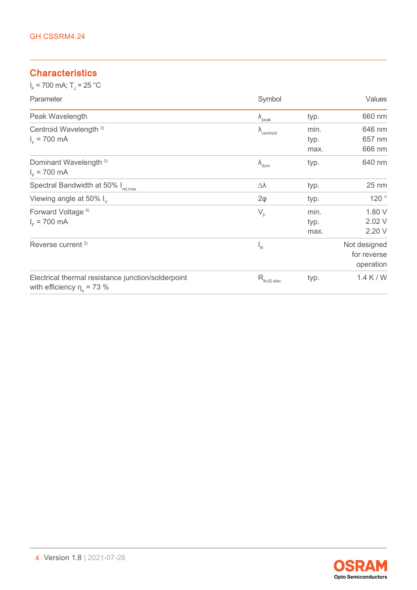### **Characteristics**

 $I_F$  = 700 mA; T<sub>J</sub> = 25 °C

| Parameter                                                                           | Symbol                        |      | Values                                   |
|-------------------------------------------------------------------------------------|-------------------------------|------|------------------------------------------|
| Peak Wavelength                                                                     | $\lambda$ <sub>peak</sub>     | typ. | 660 nm                                   |
| Centroid Wavelength <sup>3)</sup>                                                   | $\Lambda$ <sub>centroid</sub> | min. | 646 nm                                   |
| $I_{E}$ = 700 mA                                                                    |                               | typ. | 657 nm                                   |
|                                                                                     |                               | max. | 666 nm                                   |
| Dominant Wavelength <sup>3)</sup><br>$I_{E}$ = 700 mA                               | $\lambda_{\text{dom}}$        | typ. | 640 nm                                   |
| Spectral Bandwidth at 50% I <sub>rel,max</sub>                                      | Δλ                            | typ. | 25 nm                                    |
| Viewing angle at 50% $I_{v}$                                                        | $2\varphi$                    | typ. | 120°                                     |
| Forward Voltage <sup>4)</sup>                                                       | $V_F$                         | min. | 1.80 V                                   |
| $I_{E}$ = 700 mA                                                                    |                               | typ. | 2.02 V                                   |
|                                                                                     |                               | max. | 2.20 V                                   |
| Reverse current <sup>2)</sup>                                                       | $I_R$                         |      | Not designed<br>for reverse<br>operation |
| Electrical thermal resistance junction/solderpoint<br>with efficiency $\eta$ = 73 % | $R_{thJS elec.}$              | typ. | $1.4$ K / W                              |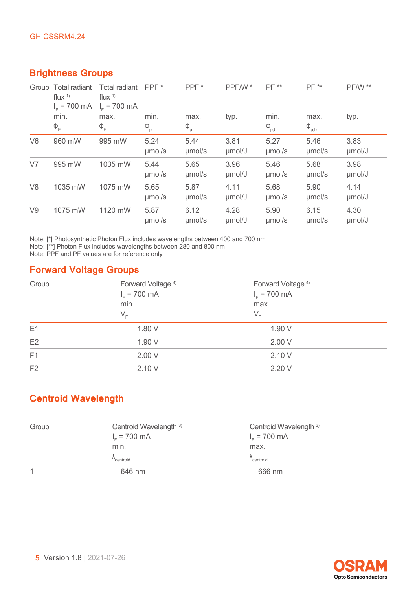|                | Group Total radiant<br>flux $1$<br>$I_c = 700$ mA | Total radiant<br>flux $1$<br>$I_c = 700$ mA | PPF <sup>*</sup> | PPF*           | PPF/W*         | PF **          | <b>PF **</b>   | <b>PF/W **</b> |
|----------------|---------------------------------------------------|---------------------------------------------|------------------|----------------|----------------|----------------|----------------|----------------|
|                | min.                                              | max.                                        | min.             | max.           | typ.           | min.           | max.           | typ.           |
|                | $\Phi_{E}$                                        | $\Phi_{E}$                                  | $\Phi_{\rm p}$   | $\Phi_{\rm p}$ |                | $\Phi_{p,b}$   | $\Phi_{p,b}$   |                |
| V <sub>6</sub> | 960 mW                                            | 995 mW                                      | 5.24<br>umol/s   | 5.44<br>umol/s | 3.81<br>µmol/J | 5.27<br>umol/s | 5.46<br>umol/s | 3.83<br>µmol/J |
| V7             | 995 mW                                            | 1035 mW                                     | 5.44<br>umol/s   | 5.65<br>umol/s | 3.96<br>µmol/J | 5.46<br>umol/s | 5.68<br>umol/s | 3.98<br>µmol/J |
| V <sub>8</sub> | 1035 mW                                           | 1075 mW                                     | 5.65<br>umol/s   | 5.87<br>umol/s | 4.11<br>µmol/J | 5.68<br>umol/s | 5.90<br>umol/s | 4.14<br>µmol/J |
| V9             | 1075 mW                                           | 1120 mW                                     | 5.87<br>umol/s   | 6.12<br>umol/s | 4.28<br>µmol/J | 5.90<br>umol/s | 6.15<br>umol/s | 4.30<br>µmol/J |

#### Brightness Groups

Note: [\*] Photosynthetic Photon Flux includes wavelengths between 400 and 700 nm

Note: [\*\*] Photon Flux includes wavelengths between 280 and 800 nm

Note: PPF and PF values are for reference only

#### Forward Voltage Groups

| Group          | Forward Voltage <sup>4)</sup><br>$I_{F}$ = 700 mA<br>min.<br>$\mathsf{V}_{\scriptscriptstyle \mathsf{F}}$ | Forward Voltage <sup>4)</sup><br>$I_c = 700$ mA<br>max.<br>$V_F$ |
|----------------|-----------------------------------------------------------------------------------------------------------|------------------------------------------------------------------|
| E1             | 1.80 V                                                                                                    | 1.90 V                                                           |
| E2             | 1.90 V                                                                                                    | 2.00V                                                            |
| F1             | 2.00V                                                                                                     | 2.10V                                                            |
| F <sub>2</sub> | 2.10 V                                                                                                    | 2.20 V                                                           |

## Centroid Wavelength

| Group | Centroid Wavelength 3) | Centroid Wavelength 3) |  |
|-------|------------------------|------------------------|--|
|       | $I_c = 700$ mA         | $I_c = 700$ mA         |  |
|       | min.                   | max.                   |  |
|       | centroid               | centroid               |  |
| 1     | 646 nm                 | 666 nm                 |  |

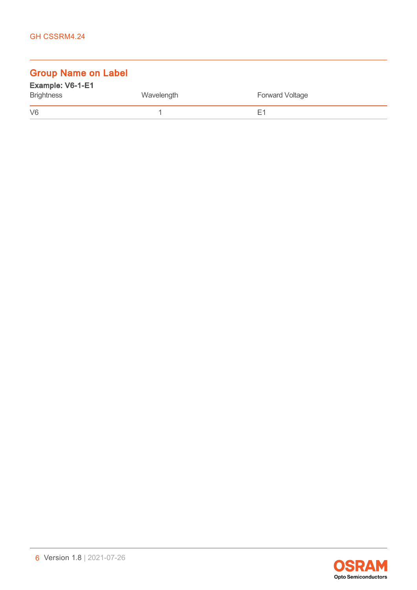## Group Name on Label

| Example: V6-1-E1  |            |                        |
|-------------------|------------|------------------------|
| <b>Brightness</b> | Wavelength | <b>Forward Voltage</b> |
| V <sub>6</sub>    |            | E1                     |

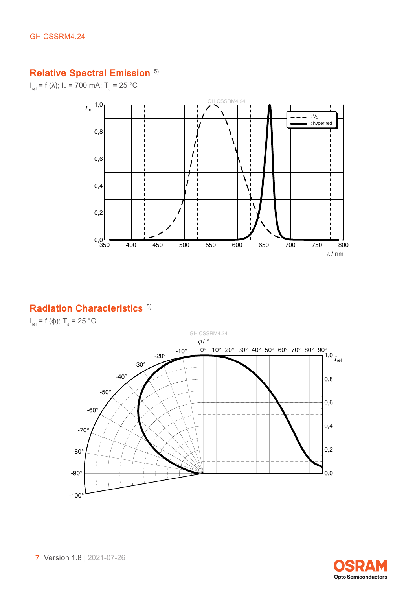#### Relative Spectral Emission<sup>[5\)](#page-18-0)</sup>

 $I_{rel}$  = f (λ);  $I_{F}$  = 700 mA; T<sub>J</sub> = 25 °C



#### Radiation Characteristics<sup>[5\)](#page-18-0)</sup>

 $I_{rel}$  = f (φ); T<sub>J</sub> = 25 °C



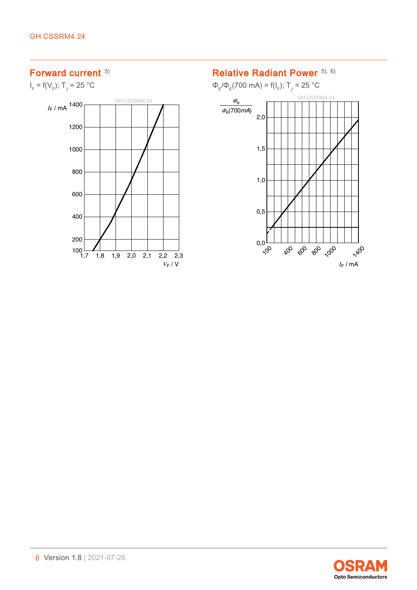#### Forward current [5\)](#page-18-0)

 $I_F = f(V_F)$ ; T<sub>J</sub> = 25 °C



#### Relative Radiant Power [5\),](#page-18-0) [6\)](#page-18-0)

 $Φ<sub>E</sub>/Φ<sub>E</sub>(700 mA) = f(I<sub>F</sub>); T<sub>J</sub> = 25 °C$ 



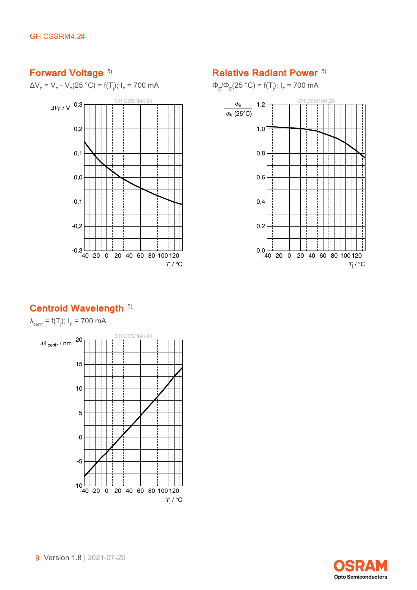### Forward Voltage [5\)](#page-18-0)

ΔV<sub>F</sub> = V<sub>F</sub> - V<sub>F</sub>(25 °C) = f(T<sub>j</sub>); I<sub>F</sub> = 700 mA



#### Relative Radiant Power<sup>[5\)](#page-18-0)</sup>

 $\Phi_{\rm E}/\Phi_{\rm E}$ (25 °C) = f(T<sub>j</sub>); l<sub>F</sub> = 700 mA



### Centroid Wavelength<sup>[5\)](#page-18-0)</sup>

 $\lambda_{\text{centr}} = f(T_j); I_F = 700 \text{ mA}$ 



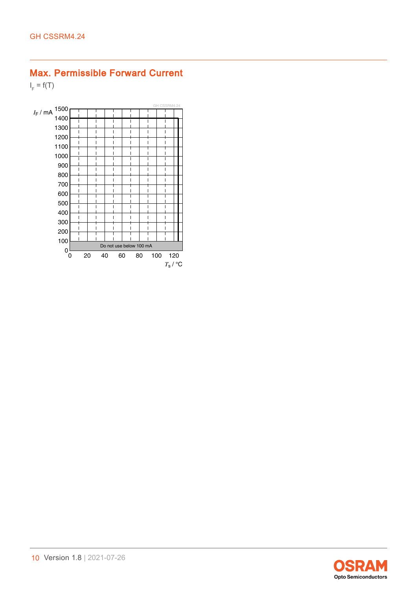#### Max. Permissible Forward Current

 $I_F = f(T)$ 



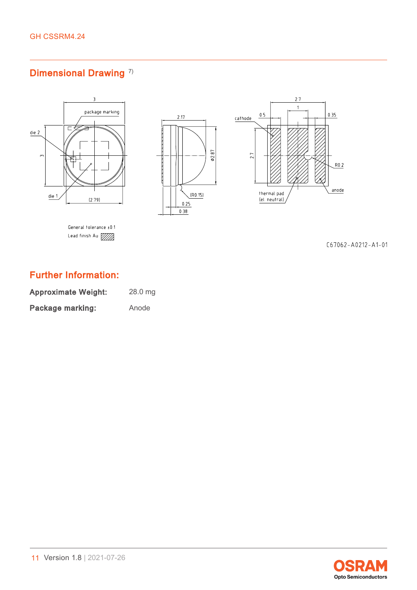## Dimensional Drawing<sup>[7\)](#page-18-0)</sup>



General folerance ±0.1 Lead finish Au 2000



 $2.7$  $\mathbf 1$ 

 $0.5$ 

thermal pad<br><u>(el. neutral)</u>

cathode

27

 $2.17$ 

 $0.287$ 

 $(R0.15)$ 

 $0.25$  $0.38$ 

 $0.35$ 

 $R0.2$ 

anode

## Further Information:

| <b>Approximate Weight:</b> | 28.0 mg |
|----------------------------|---------|
| Package marking:           | Anode   |

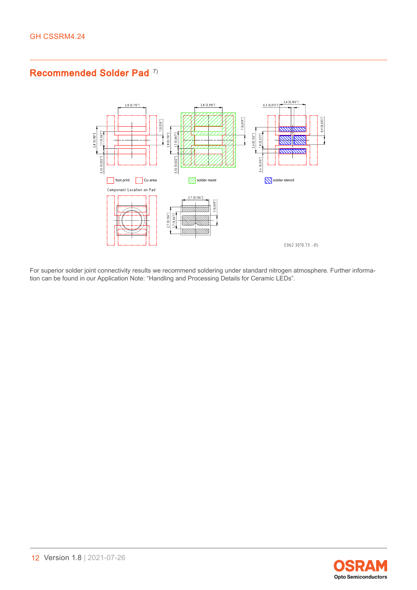#### Recommended Solder Pad<sup>[7\)](#page-18-0)</sup>



For superior solder joint connectivity results we recommend soldering under standard nitrogen atmosphere. Further information can be found in our Application Note: "Handling and Processing Details for Ceramic LEDs".

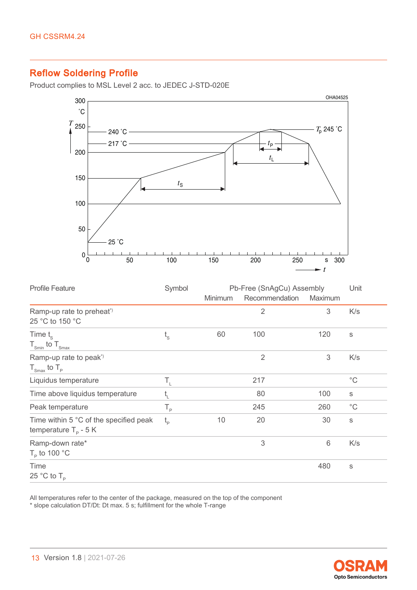#### Reflow Soldering Profile

Product complies to MSL Level 2 acc. to JEDEC J-STD-020E



| <b>Profile Feature</b>                                                   | Symbol      | Pb-Free (SnAgCu) Assembly |                |                 | Unit         |
|--------------------------------------------------------------------------|-------------|---------------------------|----------------|-----------------|--------------|
|                                                                          |             | <b>Minimum</b>            | Recommendation | Maximum         |              |
| Ramp-up rate to preheat <sup>*</sup><br>25 °C to 150 °C                  |             |                           | $\overline{2}$ | 3               | K/s          |
| Time $t_{\rm s}$<br>$T_{\text{Smin}}$ to $T_{\text{Smax}}$               | $t_{\rm s}$ | 60                        | 100            | 120             | S            |
| Ramp-up rate to peak <sup>*</sup><br>$T_{\text{Smax}}$ to $T_{\text{P}}$ |             |                           | $\overline{2}$ | 3               | K/s          |
| Liquidus temperature                                                     | $T_{\rm r}$ |                           | 217            |                 | $^{\circ}$ C |
| Time above liquidus temperature                                          | $t_{L}$     |                           | 80             | 100             | $\mathsf S$  |
| Peak temperature                                                         | $T_{\rm p}$ |                           | 245            | 260             | $^{\circ}$ C |
| Time within 5 °C of the specified peak<br>temperature $T_p - 5K$         | $t_{p}$     | 10                        | 20             | 30              | $\mathbb S$  |
| Ramp-down rate*<br>$T_{\rm p}$ to 100 °C                                 |             |                           | 3              | $6\phantom{1}6$ | K/s          |
| <b>Time</b><br>25 °C to $T_{\rm p}$                                      |             |                           |                | 480             | S            |

All temperatures refer to the center of the package, measured on the top of the component \* slope calculation DT/Dt: Dt max. 5 s; fulfillment for the whole T-range

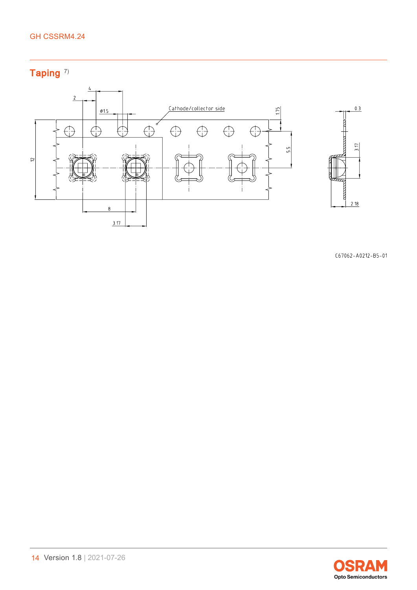Taping<sup>[7\)](#page-18-0)</sup>



 $C67062 - A0212 - B5 - 01$ 

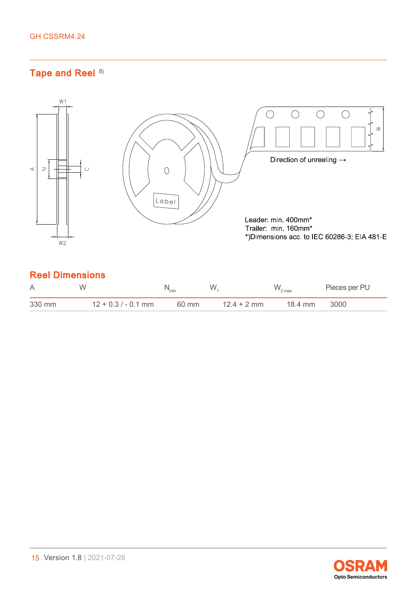#### Tape and Reel [8\)](#page-18-0)



### Reel Dimensions

| A      | W                     | "min  | W             | $W_{2\max}$ | Pieces per PU |
|--------|-----------------------|-------|---------------|-------------|---------------|
| 330 mm | $12 + 0.3 / - 0.1$ mm | 60 mm | $12.4 + 2$ mm | 18.4 mm     | 3000          |

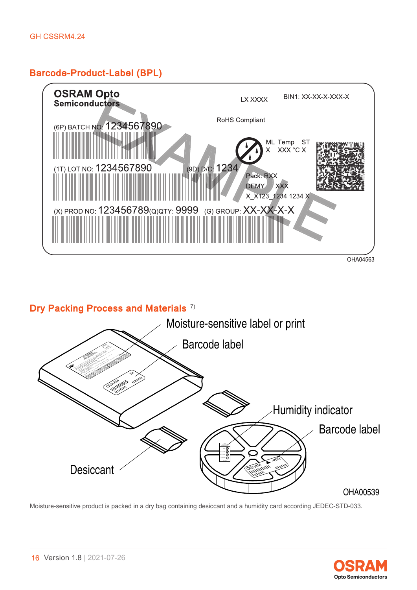#### Barcode-Product-Label (BPL)



#### Dry Packing Process and Materials<sup>[7\)](#page-18-0)</sup>



Moisture-sensitive product is packed in a dry bag containing desiccant and a humidity card according JEDEC-STD-033.

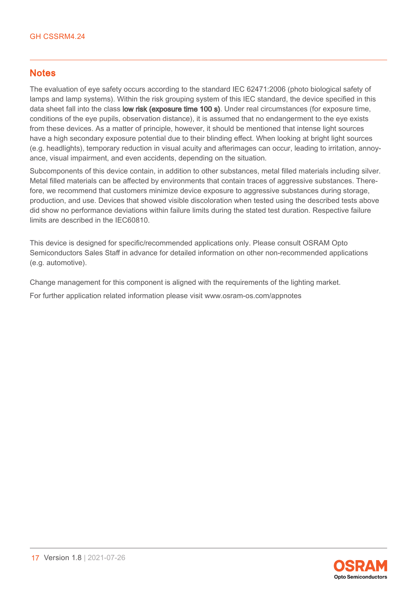#### **Notes**

The evaluation of eye safety occurs according to the standard IEC 62471:2006 (photo biological safety of lamps and lamp systems). Within the risk grouping system of this IEC standard, the device specified in this data sheet fall into the class low risk (exposure time 100 s). Under real circumstances (for exposure time, conditions of the eye pupils, observation distance), it is assumed that no endangerment to the eye exists from these devices. As a matter of principle, however, it should be mentioned that intense light sources have a high secondary exposure potential due to their blinding effect. When looking at bright light sources (e.g. headlights), temporary reduction in visual acuity and afterimages can occur, leading to irritation, annoyance, visual impairment, and even accidents, depending on the situation.

Subcomponents of this device contain, in addition to other substances, metal filled materials including silver. Metal filled materials can be affected by environments that contain traces of aggressive substances. Therefore, we recommend that customers minimize device exposure to aggressive substances during storage, production, and use. Devices that showed visible discoloration when tested using the described tests above did show no performance deviations within failure limits during the stated test duration. Respective failure limits are described in the IEC60810.

This device is designed for specific/recommended applications only. Please consult OSRAM Opto Semiconductors Sales Staff in advance for detailed information on other non-recommended applications (e.g. automotive).

Change management for this component is aligned with the requirements of the lighting market.

For further application related information please visit www.osram-os.com/appnotes

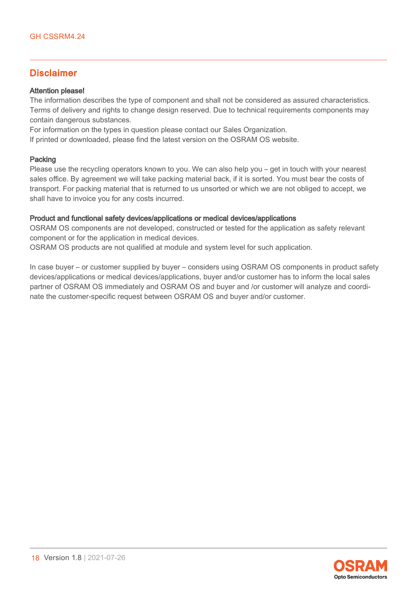#### **Disclaimer**

#### Attention please!

The information describes the type of component and shall not be considered as assured characteristics. Terms of delivery and rights to change design reserved. Due to technical requirements components may contain dangerous substances.

For information on the types in question please contact our Sales Organization.

If printed or downloaded, please find the latest version on the OSRAM OS website.

#### Packing

Please use the recycling operators known to you. We can also help you – get in touch with your nearest sales office. By agreement we will take packing material back, if it is sorted. You must bear the costs of transport. For packing material that is returned to us unsorted or which we are not obliged to accept, we shall have to invoice you for any costs incurred.

#### Product and functional safety devices/applications or medical devices/applications

OSRAM OS components are not developed, constructed or tested for the application as safety relevant component or for the application in medical devices.

OSRAM OS products are not qualified at module and system level for such application.

In case buyer – or customer supplied by buyer – considers using OSRAM OS components in product safety devices/applications or medical devices/applications, buyer and/or customer has to inform the local sales partner of OSRAM OS immediately and OSRAM OS and buyer and /or customer will analyze and coordinate the customer-specific request between OSRAM OS and buyer and/or customer.

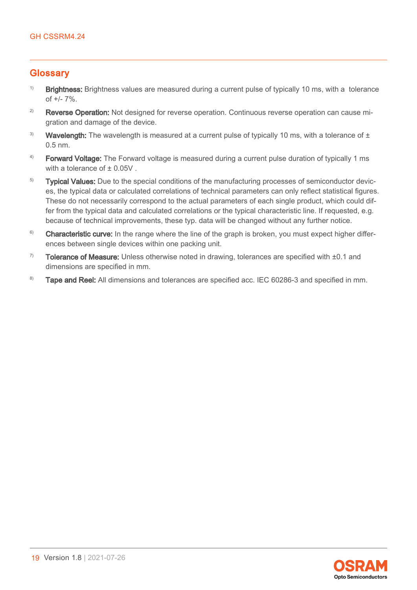#### <span id="page-18-0"></span>**Glossarv**

- $1)$  Brightness: Brightness values are measured during a current pulse of typically 10 ms, with a tolerance of +/- 7%.
- <sup>2)</sup> Reverse Operation: Not designed for reverse operation. Continuous reverse operation can cause migration and damage of the device.
- <sup>3)</sup> Wavelength: The wavelength is measured at a current pulse of typically 10 ms, with a tolerance of  $\pm$ 0.5 nm.
- $4)$  Forward Voltage: The Forward voltage is measured during a current pulse duration of typically 1 ms with a tolerance of  $\pm$  0.05V.
- <sup>5)</sup> Typical Values: Due to the special conditions of the manufacturing processes of semiconductor devices, the typical data or calculated correlations of technical parameters can only reflect statistical figures. These do not necessarily correspond to the actual parameters of each single product, which could differ from the typical data and calculated correlations or the typical characteristic line. If requested, e.g. because of technical improvements, these typ. data will be changed without any further notice.
- <sup>6)</sup> Characteristic curve: In the range where the line of the graph is broken, you must expect higher differences between single devices within one packing unit.
- $7$  Tolerance of Measure: Unless otherwise noted in drawing, tolerances are specified with  $\pm 0.1$  and dimensions are specified in mm.
- 8) Tape and Reel: All dimensions and tolerances are specified acc. IEC 60286-3 and specified in mm.

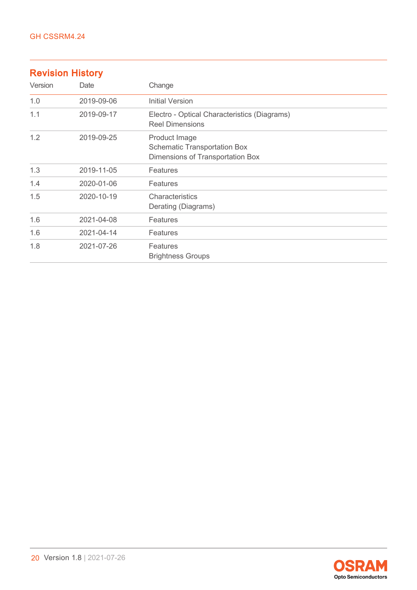### Revision History Version Date Change 1.0 2019-09-06 Initial Version 1.1 2019-09-17 Electro - Optical Characteristics (Diagrams) Reel Dimensions 1.2 2019-09-25 Product Image Schematic Transportation Box Dimensions of Transportation Box 1.3 2019-11-05 Features 1.4 2020-01-06 Features 1.5 2020-10-19 Characteristics Derating (Diagrams) 1.6 2021-04-08 Features 1.6 2021-04-14 Features 1.8 2021-07-26 Features Brightness Groups